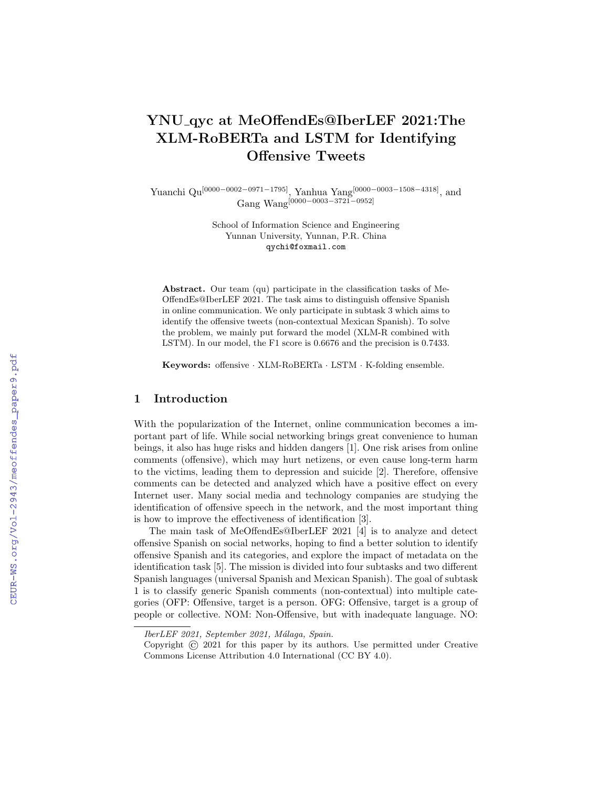# YNU qyc at MeOffendEs@IberLEF 2021:The XLM-RoBERTa and LSTM for Identifying Offensive Tweets

Yuanchi Qu[0000−0002−0971−1795], Yanhua Yang[0000−0003−1508−4318], and Gang Wang[0000−0003−3721−0952]

> School of Information Science and Engineering Yunnan University, Yunnan, P.R. China qychi@foxmail.com

Abstract. Our team (qu) participate in the classification tasks of Me-OffendEs@IberLEF 2021. The task aims to distinguish offensive Spanish in online communication. We only participate in subtask 3 which aims to identify the offensive tweets (non-contextual Mexican Spanish). To solve the problem, we mainly put forward the model (XLM-R combined with LSTM). In our model, the F1 score is 0.6676 and the precision is 0.7433.

Keywords: offensive · XLM-RoBERTa · LSTM · K-folding ensemble.

## 1 Introduction

With the popularization of the Internet, online communication becomes a important part of life. While social networking brings great convenience to human beings, it also has huge risks and hidden dangers [1]. One risk arises from online comments (offensive), which may hurt netizens, or even cause long-term harm to the victims, leading them to depression and suicide [2]. Therefore, offensive comments can be detected and analyzed which have a positive effect on every Internet user. Many social media and technology companies are studying the identification of offensive speech in the network, and the most important thing is how to improve the effectiveness of identification [3].

The main task of MeOffendEs@IberLEF 2021 [4] is to analyze and detect offensive Spanish on social networks, hoping to find a better solution to identify offensive Spanish and its categories, and explore the impact of metadata on the identification task [5]. The mission is divided into four subtasks and two different Spanish languages (universal Spanish and Mexican Spanish). The goal of subtask 1 is to classify generic Spanish comments (non-contextual) into multiple categories (OFP: Offensive, target is a person. OFG: Offensive, target is a group of people or collective. NOM: Non-Offensive, but with inadequate language. NO:

IberLEF 2021, September 2021, Málaga, Spain.

Copyright © 2021 for this paper by its authors. Use permitted under Creative Commons License Attribution 4.0 International (CC BY 4.0).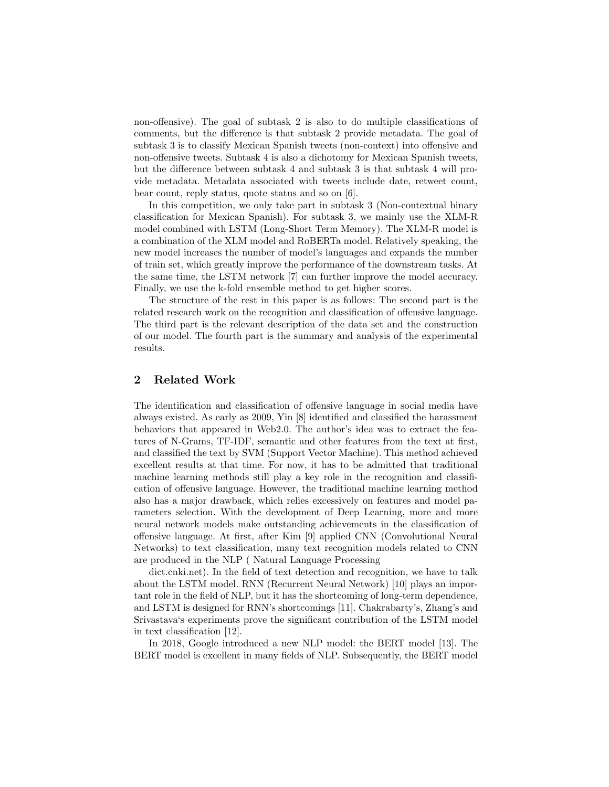non-offensive). The goal of subtask 2 is also to do multiple classifications of comments, but the difference is that subtask 2 provide metadata. The goal of subtask 3 is to classify Mexican Spanish tweets (non-context) into offensive and non-offensive tweets. Subtask 4 is also a dichotomy for Mexican Spanish tweets, but the difference between subtask 4 and subtask 3 is that subtask 4 will provide metadata. Metadata associated with tweets include date, retweet count, bear count, reply status, quote status and so on [6].

In this competition, we only take part in subtask 3 (Non-contextual binary classification for Mexican Spanish). For subtask 3, we mainly use the XLM-R model combined with LSTM (Long-Short Term Memory). The XLM-R model is a combination of the XLM model and RoBERTa model. Relatively speaking, the new model increases the number of model's languages and expands the number of train set, which greatly improve the performance of the downstream tasks. At the same time, the LSTM network [7] can further improve the model accuracy. Finally, we use the k-fold ensemble method to get higher scores.

The structure of the rest in this paper is as follows: The second part is the related research work on the recognition and classification of offensive language. The third part is the relevant description of the data set and the construction of our model. The fourth part is the summary and analysis of the experimental results.

# 2 Related Work

The identification and classification of offensive language in social media have always existed. As early as 2009, Yin [8] identified and classified the harassment behaviors that appeared in Web2.0. The author's idea was to extract the features of N-Grams, TF-IDF, semantic and other features from the text at first, and classified the text by SVM (Support Vector Machine). This method achieved excellent results at that time. For now, it has to be admitted that traditional machine learning methods still play a key role in the recognition and classification of offensive language. However, the traditional machine learning method also has a major drawback, which relies excessively on features and model parameters selection. With the development of Deep Learning, more and more neural network models make outstanding achievements in the classification of offensive language. At first, after Kim [9] applied CNN (Convolutional Neural Networks) to text classification, many text recognition models related to CNN are produced in the NLP ( Natural Language Processing

dict.cnki.net). In the field of text detection and recognition, we have to talk about the LSTM model. RNN (Recurrent Neural Network) [10] plays an important role in the field of NLP, but it has the shortcoming of long-term dependence, and LSTM is designed for RNN's shortcomings [11]. Chakrabarty's, Zhang's and Srivastava's experiments prove the significant contribution of the LSTM model in text classification [12].

In 2018, Google introduced a new NLP model: the BERT model [13]. The BERT model is excellent in many fields of NLP. Subsequently, the BERT model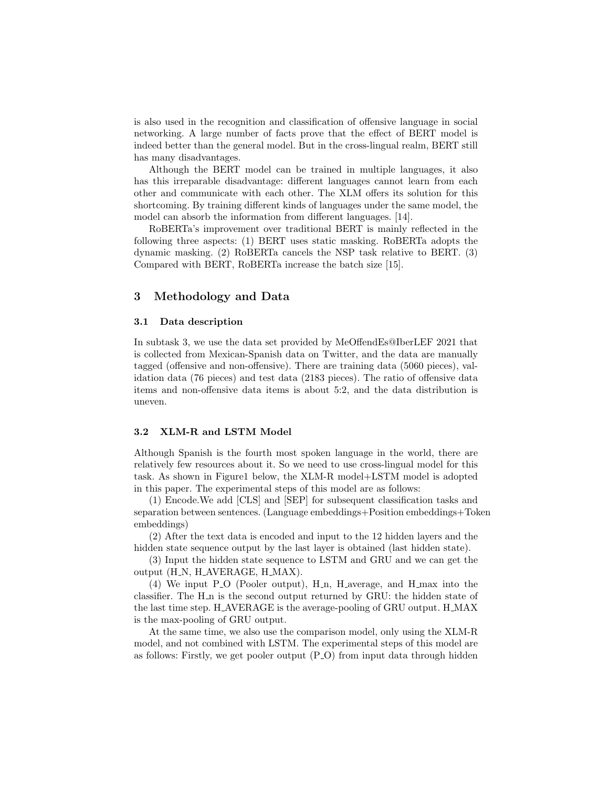is also used in the recognition and classification of offensive language in social networking. A large number of facts prove that the effect of BERT model is indeed better than the general model. But in the cross-lingual realm, BERT still has many disadvantages.

Although the BERT model can be trained in multiple languages, it also has this irreparable disadvantage: different languages cannot learn from each other and communicate with each other. The XLM offers its solution for this shortcoming. By training different kinds of languages under the same model, the model can absorb the information from different languages. [14].

RoBERTa's improvement over traditional BERT is mainly reflected in the following three aspects: (1) BERT uses static masking. RoBERTa adopts the dynamic masking. (2) RoBERTa cancels the NSP task relative to BERT. (3) Compared with BERT, RoBERTa increase the batch size [15].

## 3 Methodology and Data

#### 3.1 Data description

In subtask 3, we use the data set provided by MeOffendEs@IberLEF 2021 that is collected from Mexican-Spanish data on Twitter, and the data are manually tagged (offensive and non-offensive). There are training data (5060 pieces), validation data (76 pieces) and test data (2183 pieces). The ratio of offensive data items and non-offensive data items is about 5:2, and the data distribution is uneven.

### 3.2 XLM-R and LSTM Model

Although Spanish is the fourth most spoken language in the world, there are relatively few resources about it. So we need to use cross-lingual model for this task. As shown in Figure1 below, the XLM-R model+LSTM model is adopted in this paper. The experimental steps of this model are as follows:

(1) Encode.We add [CLS] and [SEP] for subsequent classification tasks and separation between sentences. (Language embeddings+Position embeddings+Token embeddings)

(2) After the text data is encoded and input to the 12 hidden layers and the hidden state sequence output by the last layer is obtained (last hidden state).

(3) Input the hidden state sequence to LSTM and GRU and we can get the output (H\_N, H\_AVERAGE, H\_MAX).

(4) We input P O (Pooler output), H n, H average, and H max into the classifier. The H<sub>n</sub> is the second output returned by GRU: the hidden state of the last time step. H AVERAGE is the average-pooling of GRU output. H MAX is the max-pooling of GRU output.

At the same time, we also use the comparison model, only using the XLM-R model, and not combined with LSTM. The experimental steps of this model are as follows: Firstly, we get pooler output (P O) from input data through hidden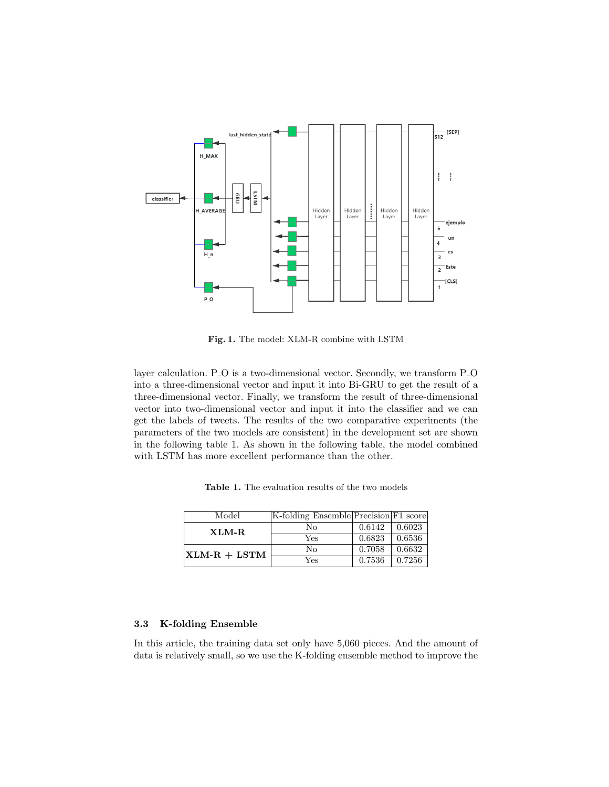

Fig. 1. The model: XLM-R combine with LSTM

layer calculation. P\_O is a two-dimensional vector. Secondly, we transform P\_O into a three-dimensional vector and input it into Bi-GRU to get the result of a three-dimensional vector. Finally, we transform the result of three-dimensional vector into two-dimensional vector and input it into the classifier and we can get the labels of tweets. The results of the two comparative experiments (the parameters of the two models are consistent) in the development set are shown in the following table 1. As shown in the following table, the model combined with LSTM has more excellent performance than the other.

| Model                | K-folding Ensemble Precision F1 score |        |        |
|----------------------|---------------------------------------|--------|--------|
| XLM-R                | No                                    | 0.6142 | 0.6023 |
|                      | Yes                                   | 0.6823 | 0.6536 |
| $\vert$ XLM-R + LSTM | No                                    | 0.7058 | 0.6632 |
|                      | Yes                                   | 0.7536 | 0.7256 |

Table 1. The evaluation results of the two models

# 3.3 K-folding Ensemble

In this article, the training data set only have 5,060 pieces. And the amount of data is relatively small, so we use the K-folding ensemble method to improve the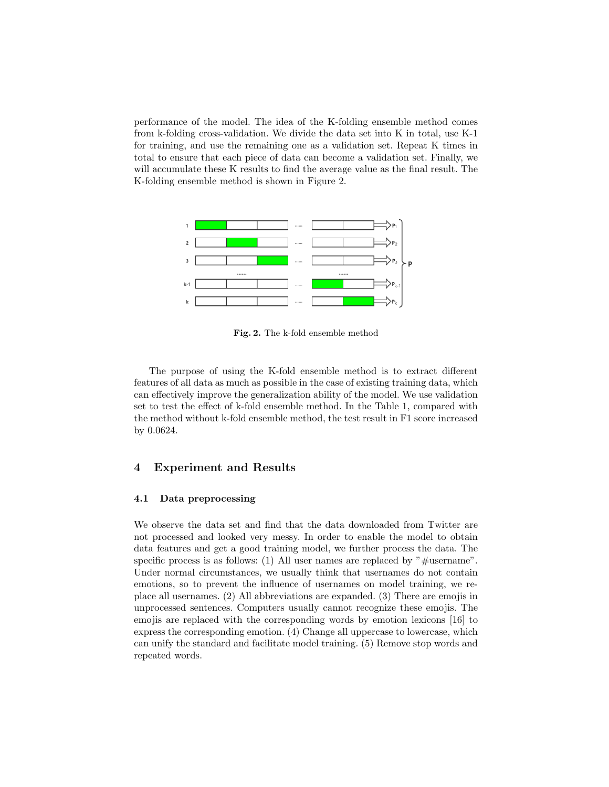performance of the model. The idea of the K-folding ensemble method comes from k-folding cross-validation. We divide the data set into K in total, use K-1 for training, and use the remaining one as a validation set. Repeat K times in total to ensure that each piece of data can become a validation set. Finally, we will accumulate these K results to find the average value as the final result. The K-folding ensemble method is shown in Figure 2.



Fig. 2. The k-fold ensemble method

The purpose of using the K-fold ensemble method is to extract different features of all data as much as possible in the case of existing training data, which can effectively improve the generalization ability of the model. We use validation set to test the effect of k-fold ensemble method. In the Table 1, compared with the method without k-fold ensemble method, the test result in F1 score increased by 0.0624.

## 4 Experiment and Results

#### 4.1 Data preprocessing

We observe the data set and find that the data downloaded from Twitter are not processed and looked very messy. In order to enable the model to obtain data features and get a good training model, we further process the data. The specific process is as follows: (1) All user names are replaced by " $\#$ username". Under normal circumstances, we usually think that usernames do not contain emotions, so to prevent the influence of usernames on model training, we replace all usernames. (2) All abbreviations are expanded. (3) There are emojis in unprocessed sentences. Computers usually cannot recognize these emojis. The emojis are replaced with the corresponding words by emotion lexicons [16] to express the corresponding emotion. (4) Change all uppercase to lowercase, which can unify the standard and facilitate model training. (5) Remove stop words and repeated words.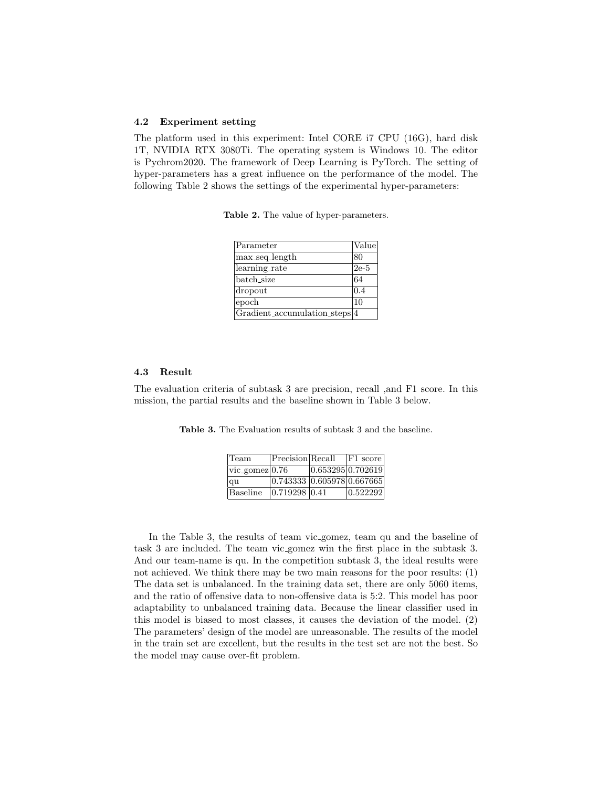#### 4.2 Experiment setting

The platform used in this experiment: Intel CORE i7 CPU (16G), hard disk 1T, NVIDIA RTX 3080Ti. The operating system is Windows 10. The editor is Pychrom2020. The framework of Deep Learning is PyTorch. The setting of hyper-parameters has a great influence on the performance of the model. The following Table 2 shows the settings of the experimental hyper-parameters:

|  |  |  | <b>Table 2.</b> The value of hyper-parameters. |
|--|--|--|------------------------------------------------|
|--|--|--|------------------------------------------------|

| Parameter                     | Value  |
|-------------------------------|--------|
| max_seq_length                | 80     |
| learning_rate                 | $2e-5$ |
| batch_size                    | 64     |
| dropout                       | 0.4    |
| epoch                         | 10     |
| Gradient_accumulation_steps 4 |        |

#### 4.3 Result

The evaluation criteria of subtask 3 are precision, recall ,and F1 score. In this mission, the partial results and the baseline shown in Table 3 below.

Table 3. The Evaluation results of subtask 3 and the baseline.

| Team               | Precision Recall           |                   | $ F1 \text{ score} $ |
|--------------------|----------------------------|-------------------|----------------------|
| $ vic\_gomez 0.76$ |                            | 0.653295 0.702619 |                      |
| qu                 | 0.743333 0.605978 0.667665 |                   |                      |
| Baseline           | $0.719298$ <sub>0.41</sub> |                   | 0.522292             |

In the Table 3, the results of team vic gomez, team qu and the baseline of task 3 are included. The team vic gomez win the first place in the subtask 3. And our team-name is qu. In the competition subtask 3, the ideal results were not achieved. We think there may be two main reasons for the poor results: (1) The data set is unbalanced. In the training data set, there are only 5060 items, and the ratio of offensive data to non-offensive data is 5:2. This model has poor adaptability to unbalanced training data. Because the linear classifier used in this model is biased to most classes, it causes the deviation of the model. (2) The parameters' design of the model are unreasonable. The results of the model in the train set are excellent, but the results in the test set are not the best. So the model may cause over-fit problem.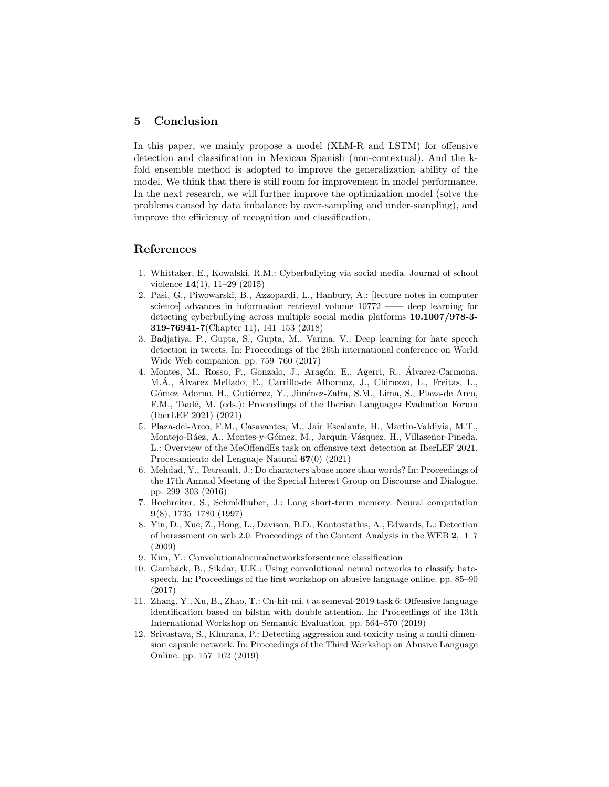# 5 Conclusion

In this paper, we mainly propose a model (XLM-R and LSTM) for offensive detection and classification in Mexican Spanish (non-contextual). And the kfold ensemble method is adopted to improve the generalization ability of the model. We think that there is still room for improvement in model performance. In the next research, we will further improve the optimization model (solve the problems caused by data imbalance by over-sampling and under-sampling), and improve the efficiency of recognition and classification.

# References

- 1. Whittaker, E., Kowalski, R.M.: Cyberbullying via social media. Journal of school violence 14(1), 11–29 (2015)
- 2. Pasi, G., Piwowarski, B., Azzopardi, L., Hanbury, A.: [lecture notes in computer science] advances in information retrieval volume 10772 —— deep learning for detecting cyberbullying across multiple social media platforms 10.1007/978-3- 319-76941-7(Chapter 11), 141–153 (2018)
- 3. Badjatiya, P., Gupta, S., Gupta, M., Varma, V.: Deep learning for hate speech detection in tweets. In: Proceedings of the 26th international conference on World Wide Web companion. pp. 759–760 (2017)
- 4. Montes, M., Rosso, P., Gonzalo, J., Aragón, E., Agerri, R., Álvarez-Carmona, M.Á., Álvarez Mellado, E., Carrillo-de Albornoz, J., Chiruzzo, L., Freitas, L., Gómez Adorno, H., Gutiérrez, Y., Jiménez-Zafra, S.M., Lima, S., Plaza-de Arco, F.M., Taulé, M. (eds.): Proceedings of the Iberian Languages Evaluation Forum (IberLEF 2021) (2021)
- 5. Plaza-del-Arco, F.M., Casavantes, M., Jair Escalante, H., Martin-Valdivia, M.T., Montejo-Ráez, A., Montes-y-Gómez, M., Jarquín-Vásquez, H., Villaseñor-Pineda, L.: Overview of the MeOffendEs task on offensive text detection at IberLEF 2021. Procesamiento del Lenguaje Natural 67(0) (2021)
- 6. Mehdad, Y., Tetreault, J.: Do characters abuse more than words? In: Proceedings of the 17th Annual Meeting of the Special Interest Group on Discourse and Dialogue. pp. 299–303 (2016)
- 7. Hochreiter, S., Schmidhuber, J.: Long short-term memory. Neural computation 9(8), 1735–1780 (1997)
- 8. Yin, D., Xue, Z., Hong, L., Davison, B.D., Kontostathis, A., Edwards, L.: Detection of harassment on web 2.0. Proceedings of the Content Analysis in the WEB 2, 1–7 (2009)
- 9. Kim, Y.: Convolutionalneuralnetworksforsentence classification
- 10. Gambäck, B., Sikdar, U.K.: Using convolutional neural networks to classify hatespeech. In: Proceedings of the first workshop on abusive language online. pp. 85–90 (2017)
- 11. Zhang, Y., Xu, B., Zhao, T.: Cn-hit-mi. t at semeval-2019 task 6: Offensive language identification based on bilstm with double attention. In: Proceedings of the 13th International Workshop on Semantic Evaluation. pp. 564–570 (2019)
- 12. Srivastava, S., Khurana, P.: Detecting aggression and toxicity using a multi dimension capsule network. In: Proceedings of the Third Workshop on Abusive Language Online. pp. 157–162 (2019)